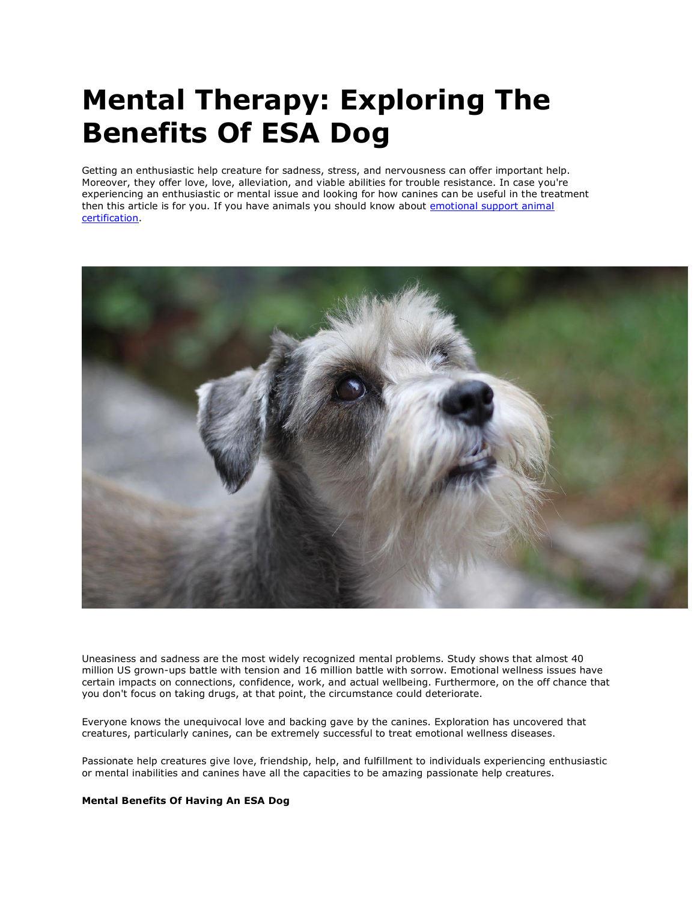# **Mental Therapy: Exploring The Benefits Of ESA Dog**

Getting an enthusiastic help creature for sadness, stress, and nervousness can offer important help. Moreover, they offer love, love, alleviation, and viable abilities for trouble resistance. In case you're experiencing an enthusiastic or mental issue and looking for how canines can be useful in the treatment then this article is for you. If you have animals you should know about emotional support animal [certification.](https://www.realesaletter.com/blog/emotional-support-dog-certification)



Uneasiness and sadness are the most widely recognized mental problems. Study shows that almost 40 million US grown-ups battle with tension and 16 million battle with sorrow. Emotional wellness issues have certain impacts on connections, confidence, work, and actual wellbeing. Furthermore, on the off chance that you don't focus on taking drugs, at that point, the circumstance could deteriorate.

Everyone knows the unequivocal love and backing gave by the canines. Exploration has uncovered that creatures, particularly canines, can be extremely successful to treat emotional wellness diseases.

Passionate help creatures give love, friendship, help, and fulfillment to individuals experiencing enthusiastic or mental inabilities and canines have all the capacities to be amazing passionate help creatures.

#### **Mental Benefits Of Having An ESA Dog**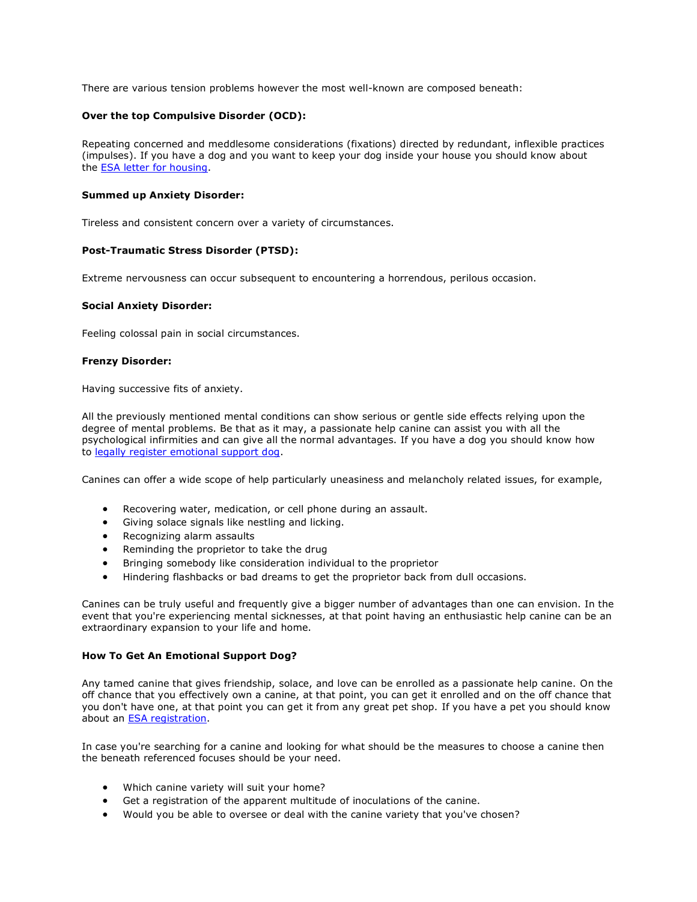There are various tension problems however the most well-known are composed beneath:

# **Over the top Compulsive Disorder (OCD):**

Repeating concerned and meddlesome considerations (fixations) directed by redundant, inflexible practices (impulses). If you have a dog and you want to keep your dog inside your house you should know about the [ESA letter for housing.](https://www.realesaletter.com/sample-esa-letter)

#### **Summed up Anxiety Disorder:**

Tireless and consistent concern over a variety of circumstances.

## **Post-Traumatic Stress Disorder (PTSD):**

Extreme nervousness can occur subsequent to encountering a horrendous, perilous occasion.

#### **Social Anxiety Disorder:**

Feeling colossal pain in social circumstances.

## **Frenzy Disorder:**

Having successive fits of anxiety.

All the previously mentioned mental conditions can show serious or gentle side effects relying upon the degree of mental problems. Be that as it may, a passionate help canine can assist you with all the psychological infirmities and can give all the normal advantages. If you have a dog you should know how to [legally register emotional support dog.](https://www.realesaletter.com/blog/emotional-support-animal-registration)

Canines can offer a wide scope of help particularly uneasiness and melancholy related issues, for example,

- Recovering water, medication, or cell phone during an assault.
- Giving solace signals like nestling and licking.
- Recognizing alarm assaults
- Reminding the proprietor to take the drug
- Bringing somebody like consideration individual to the proprietor
- Hindering flashbacks or bad dreams to get the proprietor back from dull occasions.

Canines can be truly useful and frequently give a bigger number of advantages than one can envision. In the event that you're experiencing mental sicknesses, at that point having an enthusiastic help canine can be an extraordinary expansion to your life and home.

#### **How To Get An Emotional Support Dog?**

Any tamed canine that gives friendship, solace, and love can be enrolled as a passionate help canine. On the off chance that you effectively own a canine, at that point, you can get it enrolled and on the off chance that you don't have one, at that point you can get it from any great pet shop. If you have a pet you should know about an [ESA registration.](https://www.realesaletter.com/blog/emotional-support-animal-letter)

In case you're searching for a canine and looking for what should be the measures to choose a canine then the beneath referenced focuses should be your need.

- Which canine variety will suit your home?
- Get a registration of the apparent multitude of inoculations of the canine.
- Would you be able to oversee or deal with the canine variety that you've chosen?